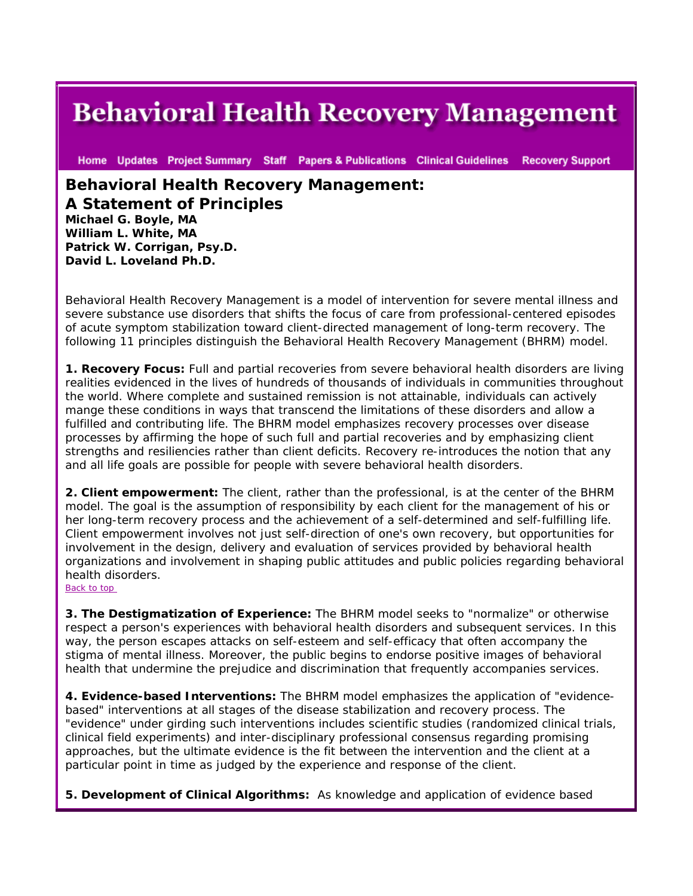## **Behavioral Health Recovery Management**

Home Updates Project Summary Staff Papers & Publications Clinical Guidelines Recovery Support

**Behavioral Health Recovery Management: A Statement of Principles Michael G. Boyle, MA William L. White, MA Patrick W. Corrigan, Psy.D. David L. Loveland Ph.D.**

Behavioral Health Recovery Management is a model of intervention for severe mental illness and severe substance use disorders that shifts the focus of care from professional-centered episodes of acute symptom stabilization toward client-directed management of long-term recovery. The following 11 principles distinguish the Behavioral Health Recovery Management (BHRM) model.

**1. Recovery Focus:** Full and partial recoveries from severe behavioral health disorders are living realities evidenced in the lives of hundreds of thousands of individuals in communities throughout the world. Where complete and sustained remission is not attainable, individuals can actively mange these conditions in ways that transcend the limitations of these disorders and allow a fulfilled and contributing life. The BHRM model emphasizes recovery processes over disease processes by affirming the hope of such full and partial recoveries and by emphasizing client strengths and resiliencies rather than client deficits. Recovery re-introduces the notion that any and all life goals are possible for people with severe behavioral health disorders.

**2. Client empowerment:** The client, rather than the professional, is at the center of the BHRM model. The goal is the assumption of responsibility by each client for the management of his or her long-term recovery process and the achievement of a self-determined and self-fulfilling life. Client empowerment involves not just self-direction of one's own recovery, but opportunities for involvement in the design, delivery and evaluation of services provided by behavioral health organizations and involvement in shaping public attitudes and public policies regarding behavioral [h](http://www.bhrm.org/papers/principles/BHRMprinciples.htm#top)ealth disorders. [Ba](http://www.bhrm.org/papers/principles/BHRMprinciples.htm#top)ck to top

**[3.](http://www.bhrm.org/papers/principles/BHRMprinciples.htm#top) The Destigmatization of Experience:** The BHRM model seeks to "normalize" or otherwise [respect a person's experiences with behavioral health disorders and subsequent services. In this](http://www.bhrm.org/papers/principles/BHRMprinciples.htm#top) [way, the person escapes attacks on self-esteem and self-efficacy that often accompany the](http://www.bhrm.org/papers/principles/BHRMprinciples.htm#top)  [stigma of mental illness. Moreover, the public begins to endorse positive images of behavioral](http://www.bhrm.org/papers/principles/BHRMprinciples.htm#top) [health that undermine the prejudice and discrimination that frequently accompanies services.](http://www.bhrm.org/papers/principles/BHRMprinciples.htm#top) 

**[4.](http://www.bhrm.org/papers/principles/BHRMprinciples.htm#top) Evidence-based Interventions:** The BHRM model emphasizes the application of "evidence[based" interventions at all stages of the disease stabilization and recovery process. The](http://www.bhrm.org/papers/principles/BHRMprinciples.htm#top)  ["evidence" under girding such interventions includes scientific studies \(randomized clinica](http://www.bhrm.org/papers/principles/BHRMprinciples.htm#top)l trials, [clinical field experiments\) and inter-disciplinary professional consensus regarding promising](http://www.bhrm.org/papers/principles/BHRMprinciples.htm#top)  [approaches, but the ultimate evidence is the fit between the intervention and the client at a](http://www.bhrm.org/papers/principles/BHRMprinciples.htm#top)  [particular point in time as judged by the experience and response of the client.](http://www.bhrm.org/papers/principles/BHRMprinciples.htm#top) 

**5. Development of Clinical Algorithms:** As knowledge and application of evidence based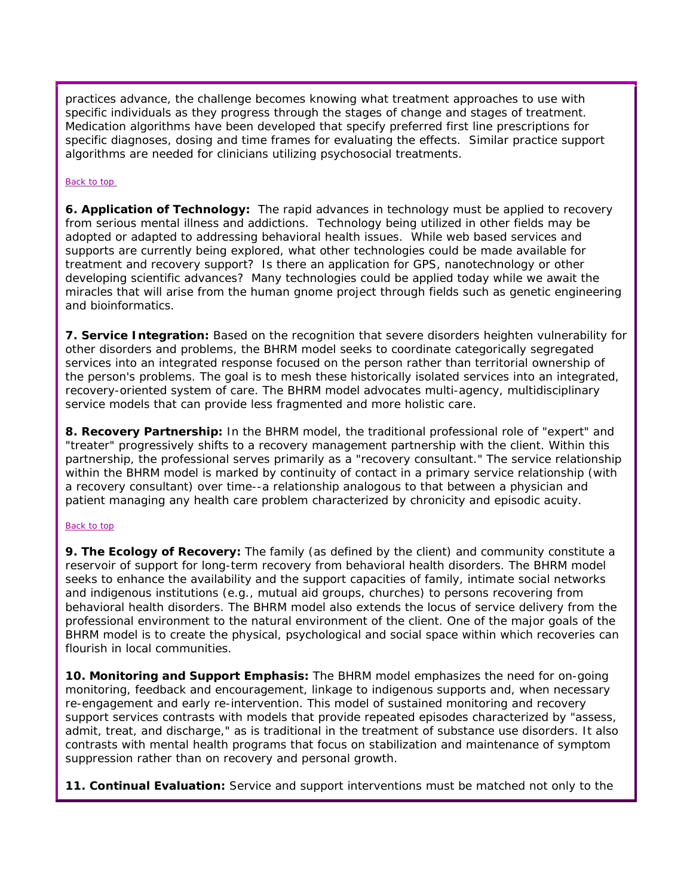practices advance, the challenge becomes knowing what treatment approaches to use with specific individuals as they progress through the stages of change and stages of treatment. Medication algorithms have been developed that specify preferred first line prescriptions for specific diagnoses, dosing and time frames for evaluating the effects. Similar practice support algorithms are needed for clinicians utilizing psychosocial treatments.

## Back to top

**6. Application of Technology:** The rapid advances in technology must be applied to recovery from serious mental illness and addictions. Technology being utilized in other fields may be adopted or adapted to addressing behavioral health issues. While web based services and supports are currently being explored, what other technologies could be made available for treatment and recovery support? Is there an application for GPS, nanotechnology or other developing scientific advances? Many technologies could be applied today while we await the miracles that will arise from the human gnome project through fields such as genetic engineering and bioinformatics.

**7. Service Integration:** Based on the recognition that severe disorders heighten vulnerability for other disorders and problems, the BHRM model seeks to coordinate categorically segregated services into an integrated response focused on the person rather than territorial ownership of the person's problems. The goal is to mesh these historically isolated services into an integrated, recovery-oriented system of care. The BHRM model advocates multi-agency, multidisciplinary service models that can provide less fragmented and more holistic care.

**8. Recovery Partnership:** In the BHRM model, the traditional professional role of "expert" and "treater" progressively shifts to a recovery management partnership with the client. Within this partnership, the professional serves primarily as a "recovery consultant." The service relationship within the BHRM model is marked by continuity of contact in a primary service relationship (with a recovery consultant) over time--a relationship analogous to that between a physician and patient managing any health care problem characterized by chronicity and episodic acuity.

## [Ba](http://www.bhrm.org/papers/principles/BHRMprinciples.htm#top)ck to top

**[9.](http://www.bhrm.org/papers/principles/BHRMprinciples.htm#top) The Ecology of Recovery:** The family (as defined by the client) and community constitute a [reservoir of support for long-term recovery from behavioral health disorders. The BHRM model](http://www.bhrm.org/papers/principles/BHRMprinciples.htm#top)  [seeks to enhance the availability and the support capacities of family, intimate social networks](http://www.bhrm.org/papers/principles/BHRMprinciples.htm#top)  [and indigenous institutions \(e.g., mutual aid groups, churches\) to persons recovering from](http://www.bhrm.org/papers/principles/BHRMprinciples.htm#top)  [behavioral health disorders. The BHRM model also extends the locus of service delivery from](http://www.bhrm.org/papers/principles/BHRMprinciples.htm#top) the [professional environment to the natural environment of the client. One of the major goals of the](http://www.bhrm.org/papers/principles/BHRMprinciples.htm#top)  [BHRM model is to create the physical, psychological and social space within which recoveries can](http://www.bhrm.org/papers/principles/BHRMprinciples.htm#top)  [flourish in local communities.](http://www.bhrm.org/papers/principles/BHRMprinciples.htm#top) 

**[10](http://www.bhrm.org/papers/principles/BHRMprinciples.htm#top). Monitoring and Support Emphasis:** The BHRM model emphasizes the need for on-going [monitoring, feedback and encouragement, linkage to indigenous supports and, when necessary](http://www.bhrm.org/papers/principles/BHRMprinciples.htm#top)  [re-engagement and early re-intervention. This model of sustained monitoring and recovery](http://www.bhrm.org/papers/principles/BHRMprinciples.htm#top)  [support services contrasts with models that provide repeated episodes characterized by "asse](http://www.bhrm.org/papers/principles/BHRMprinciples.htm#top)ss, [admit, treat, and discharge," as is traditional in the treatment of substance use disorders. It also](http://www.bhrm.org/papers/principles/BHRMprinciples.htm#top)  [contrasts with mental health programs that focus on stabilization and maintenance of symptom](http://www.bhrm.org/papers/principles/BHRMprinciples.htm#top)  [suppression rather than on recovery and personal growth.](http://www.bhrm.org/papers/principles/BHRMprinciples.htm#top) 

**[11](http://www.bhrm.org/papers/principles/BHRMprinciples.htm#top). Continual Evaluation:** Service and support interventions must be matched not only to the